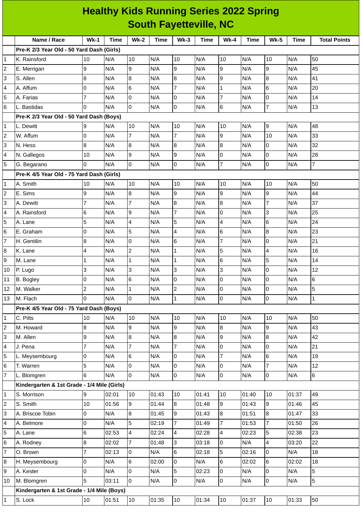|                         | <b>Healthy Kids Running Series 2022 Spring</b> |                         |       |                  |             |                          |             |                          |       |                |             |                     |
|-------------------------|------------------------------------------------|-------------------------|-------|------------------|-------------|--------------------------|-------------|--------------------------|-------|----------------|-------------|---------------------|
|                         | <b>South Fayetteville, NC</b>                  |                         |       |                  |             |                          |             |                          |       |                |             |                     |
|                         | Name / Race                                    | $Wk-1$                  | Time  | $Wk-2$           | <b>Time</b> | $Wk-3$                   | <b>Time</b> | $Wk-4$                   | Time  | <b>Wk-5</b>    | <b>Time</b> | <b>Total Points</b> |
|                         | Pre-K 2/3 Year Old - 50 Yard Dash (Girls)      |                         |       |                  |             |                          |             |                          |       |                |             |                     |
| 1                       | K. Rainsford                                   | 10                      | N/A   | 10               | N/A         | 10                       | N/A         | 10                       | N/A   | 10             | N/A         | 50                  |
| 2                       | E. Merrigan                                    | 9                       | N/A   | 9                | N/A         | 9                        | N/A         | 9                        | N/A   | 9              | N/A         | 45                  |
| 3                       | S. Allen                                       | 8                       | N/A   | $\boldsymbol{8}$ | N/A         | $\boldsymbol{8}$         | N/A         | 9                        | N/A   | 8              | N/A         | 41                  |
| 4                       | A. Affum                                       | 0                       | N/A   | 6                | N/A         | $\overline{7}$           | N/A         | $\mathbf{1}$             | N/A   | 6              | N/A         | 20                  |
| 5                       | A. Farias                                      | $\overline{7}$          | N/A   | 0                | N/A         | 0                        | N/A         | $\overline{7}$           | N/A   | 0              | N/A         | 14                  |
| 6                       | L. Bastidas                                    | 0                       | N/A   | 0                | N/A         | 0                        | N/A         | $\,6$                    | N/A   | $\overline{7}$ | N/A         | 13                  |
|                         | Pre-K 2/3 Year Old - 50 Yard Dash (Boys)       |                         |       |                  |             |                          |             |                          |       |                |             |                     |
| 1                       | L. Dewitt                                      | 9                       | N/A   | 10               | N/A         | 10                       | N/A         | 10                       | N/A   | 9              | N/A         | 48                  |
| $\overline{c}$          | W. Affum                                       | 0                       | N/A   | 7                | N/A         | $\overline{7}$           | N/A         | 9                        | N/A   | 10             | N/A         | 33                  |
| 3                       | N. Hess                                        | 8                       | N/A   | 8                | N/A         | $\boldsymbol{8}$         | N/A         | $\overline{8}$           | N/A   | 0              | N/A         | 32                  |
| 4                       | N. Gallegos                                    | 10                      | N/A   | $\boldsymbol{9}$ | N/A         | 9                        | N/A         | 0                        | N/A   | 0              | N/A         | 28                  |
| 5                       | G. Begarano                                    | 0                       | N/A   | 0                | N/A         | $\mathsf 0$              | N/A         | $\overline{7}$           | N/A   | 0              | N/A         | $\overline{7}$      |
|                         | Pre-K 4/5 Year Old - 75 Yard Dash (Girls)      |                         |       |                  |             |                          |             |                          |       |                |             |                     |
| 1                       | A. Smith                                       | 10                      | N/A   | 10               | N/A         | 10                       | N/A         | 10                       | N/A   | 10             | N/A         | 50                  |
| $\overline{c}$          | E. Sims                                        | 9                       | N/A   | 8                | N/A         | 9                        | N/A         | 9                        | N/A   | 9              | N/A         | 44                  |
| 3                       | A. Dewitt                                      | $\overline{7}$          | N/A   | $\overline{7}$   | N/A         | $\bf{8}$                 | N/A         | 8                        | N/A   | $\overline{7}$ | N/A         | 37                  |
| 4                       | A. Rainsford                                   | 6                       | N/A   | $\boldsymbol{9}$ | N/A         | $\overline{7}$           | N/A         | $\overline{0}$           | N/A   | 3              | N/A         | 25                  |
| 5                       | A. Lane                                        | 5                       | N/A   | 4                | N/A         | 5                        | N/A         | $\overline{\mathbf{4}}$  | N/A   | 6              | N/A         | 24                  |
| 6                       | E. Graham                                      | 0                       | N/A   | 5                | N/A         | 4                        | N/A         | 6                        | N/A   | 8              | N/A         | 23                  |
| $\overline{7}$          | H. Gentilin                                    | 8                       | N/A   | 0                | N/A         | 6                        | N/A         | $\overline{7}$           | N/A   | 0              | N/A         | 21                  |
| 8                       | K. Lane                                        | 4                       | N/A   | $\overline{c}$   | N/A         | $\mathbf{1}$             | N/A         | 5                        | N/A   | 4              | N/A         | 16                  |
| 9                       | M. Lane                                        | 1                       | N/A   | $\mathbf 1$      | N/A         | $\mathbf{1}$             | N/A         | $\,6$                    | N/A   | 5              | N/A         | 14                  |
| 10                      | P. Lugo                                        | 3                       | N/A   | 3                | N/A         | 3                        | N/A         | 3                        | N/A   | 0              | N/A         | 12                  |
| 11                      | B. Bogley                                      | 0                       | N/A   | 6                | N/A         | 0                        | N/A         | 0                        | N/A   | $\overline{0}$ | N/A         | 6                   |
| 12                      | M. Walker                                      | $\overline{\mathbf{c}}$ | N/A   | $\mathbf 1$      | N/A         | $\overline{c}$           | N/A         | $\mathsf 0$              | N/A   | 0              | N/A         | 5                   |
| 13                      | M. Flach                                       | $\Omega$                | N/A   | $\overline{0}$   | N/A         | $\mathbf{1}$             | N/A         | 0                        | N/A   | 0              | N/A         | $\mathbf{1}$        |
|                         | Pre-K 4/5 Year Old - 75 Yard Dash (Boys)       |                         |       |                  |             |                          |             |                          |       |                |             |                     |
| 1                       | C. Pitts                                       | 10                      | N/A   | 10               | N/A         | 10                       | N/A         | 10                       | N/A   | 10             | N/A         | 50                  |
| 2                       | M. Howard                                      | 8                       | N/A   | 9                | N/A         | 9                        | N/A         | $\overline{8}$           | N/A   | 9              | N/A         | 43                  |
| 3                       | M. Allen                                       | 9                       | N/A   | 8                | N/A         | 8                        | N/A         | $\overline{9}$           | N/A   | 8              | N/A         | 42                  |
| 4                       | J. Pena                                        | $\overline{7}$          | N/A   | $\overline{7}$   | N/A         | $\overline{7}$           | N/A         | lo                       | N/A   | 0              | N/A         | 21                  |
| 5                       | L. Meysembourg                                 | 0                       | N/A   | 6                | N/A         | 0                        | N/A         | $\overline{7}$           | N/A   | 6              | N/A         | 19                  |
| $\,$ 6                  | T. Warren                                      | 5                       | N/A   | 0                | N/A         | $\overline{0}$           | N/A         | 0                        | N/A   | 7              | N/A         | 12                  |
| $\overline{7}$          | L. Blomgren                                    | 6                       | N/A   | 0                | N/A         | 0                        | N/A         | lo                       | N/A   | 0              | N/A         | 6                   |
|                         | Kindergarten & 1st Grade - 1/4 Mile (Girls)    |                         |       |                  |             |                          |             |                          |       |                |             |                     |
| 1                       | S. Morrison                                    | 9                       | 02:01 | 10               | 01:43       | 10                       | 01:41       | 10                       | 01:40 | 10             | 01:37       | 49                  |
| $\overline{\mathbf{c}}$ | S. Smith                                       | 10                      | 01:56 | 9                | 01:44       | 8                        | 01:48       | 9                        | 01:43 | 9              | 01:46       | 45                  |
| 3                       | A. Briscoe Tobin                               | 0                       | N/A   | 8                | 01:45       | 9                        | 01:43       | $\, 8$                   | 01:51 | 8              | 01:47       | 33                  |
| 4                       | A. Belmore                                     | 0                       | N/A   | 5                | 02:19       | $\overline{7}$           | 01:49       | $\overline{7}$           | 01:53 | $\overline{7}$ | 01:50       | 26                  |
| 5                       | A. Lane                                        | 6                       | 02:53 | 4                | 02:24       | $\overline{\mathcal{A}}$ | 02:28       | $\overline{\mathcal{A}}$ | 02:23 | 5              | 02:38       | 23                  |
| 6                       | A. Rodney                                      | 8                       | 02:02 | 7                | 01:48       | 3                        | 03:18       | $\overline{0}$           | N/A   | 4              | 03:20       | 22                  |
| $\overline{7}$          | O. Brown                                       | $\overline{7}$          | 02:13 | 0                | N/A         | 6                        | 02:18       | 5                        | 02:16 | 0              | N/A         | 18                  |
| 8                       | H. Meysembourg                                 | 0                       | N/A   | 6                | 02:00       | 0                        | N/A         | 6                        | 02:02 | 6              | 02:02       | 18                  |
| 9                       | A. Kester                                      | 0                       | N/A   | 0                | N/A         | 5                        | 02:23       | $\overline{0}$           | N/A   | 0              | N/A         | 5                   |
| 10                      | M. Blomgren                                    | 5                       | 03:11 | $\overline{0}$   | N/A         | $\mathsf 0$              | N/A         | 0                        | N/A   | 0              | N/A         | 5                   |
|                         | Kindergarten & 1st Grade - 1/4 Mile (Boys)     |                         |       |                  |             |                          |             |                          |       |                |             |                     |
| 1                       | S. Lock                                        | 10                      | 01:51 | 10               | 01:35       | 10                       | 01:34       | 10                       | 01:37 | $10\,$         | 01:33       | 50                  |